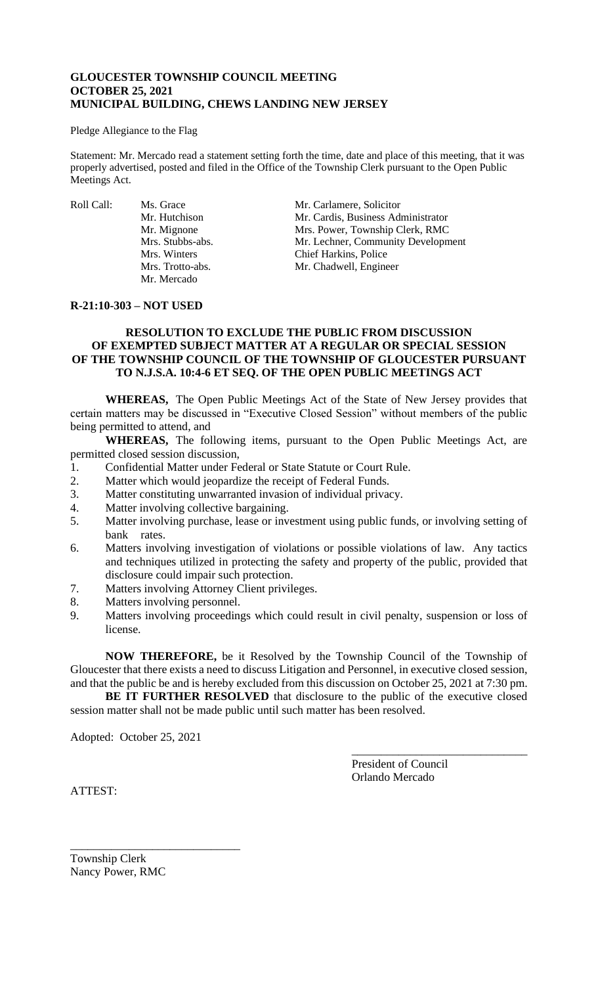#### **GLOUCESTER TOWNSHIP COUNCIL MEETING OCTOBER 25, 2021 MUNICIPAL BUILDING, CHEWS LANDING NEW JERSEY**

#### Pledge Allegiance to the Flag

Statement: Mr. Mercado read a statement setting forth the time, date and place of this meeting, that it was properly advertised, posted and filed in the Office of the Township Clerk pursuant to the Open Public Meetings Act.

Roll Call: Ms. Grace Mr. Carlamere, Solicitor<br>Mr. Hutchison Mr. Cardis, Business Adı Mr. Mercado

Mr. Cardis, Business Administrator Mr. Mignone Mrs. Power, Township Clerk, RMC Mrs. Stubbs-abs. Mr. Lechner, Community Development Mrs. Winters Chief Harkins, Police Mrs. Trotto-abs. Mr. Chadwell, Engineer

### **R-21:10-303 – NOT USED**

### **RESOLUTION TO EXCLUDE THE PUBLIC FROM DISCUSSION OF EXEMPTED SUBJECT MATTER AT A REGULAR OR SPECIAL SESSION OF THE TOWNSHIP COUNCIL OF THE TOWNSHIP OF GLOUCESTER PURSUANT TO N.J.S.A. 10:4-6 ET SEQ. OF THE OPEN PUBLIC MEETINGS ACT**

**WHEREAS,** The Open Public Meetings Act of the State of New Jersey provides that certain matters may be discussed in "Executive Closed Session" without members of the public being permitted to attend, and

**WHEREAS,** The following items, pursuant to the Open Public Meetings Act, are permitted closed session discussion,

- 1. Confidential Matter under Federal or State Statute or Court Rule.
- 2. Matter which would jeopardize the receipt of Federal Funds.
- 3. Matter constituting unwarranted invasion of individual privacy.
- 4. Matter involving collective bargaining.
- 5. Matter involving purchase, lease or investment using public funds, or involving setting of bank rates.
- 6. Matters involving investigation of violations or possible violations of law. Any tactics and techniques utilized in protecting the safety and property of the public, provided that disclosure could impair such protection.
- 7. Matters involving Attorney Client privileges.
- 8. Matters involving personnel.
- 9. Matters involving proceedings which could result in civil penalty, suspension or loss of license.

**NOW THEREFORE,** be it Resolved by the Township Council of the Township of Gloucester that there exists a need to discuss Litigation and Personnel, in executive closed session, and that the public be and is hereby excluded from this discussion on October 25, 2021 at 7:30 pm.

**BE IT FURTHER RESOLVED** that disclosure to the public of the executive closed session matter shall not be made public until such matter has been resolved.

Adopted: October 25, 2021

President of Council Orlando Mercado

\_\_\_\_\_\_\_\_\_\_\_\_\_\_\_\_\_\_\_\_\_\_\_\_\_\_\_\_\_\_

ATTEST:

Township Clerk Nancy Power, RMC

\_\_\_\_\_\_\_\_\_\_\_\_\_\_\_\_\_\_\_\_\_\_\_\_\_\_\_\_\_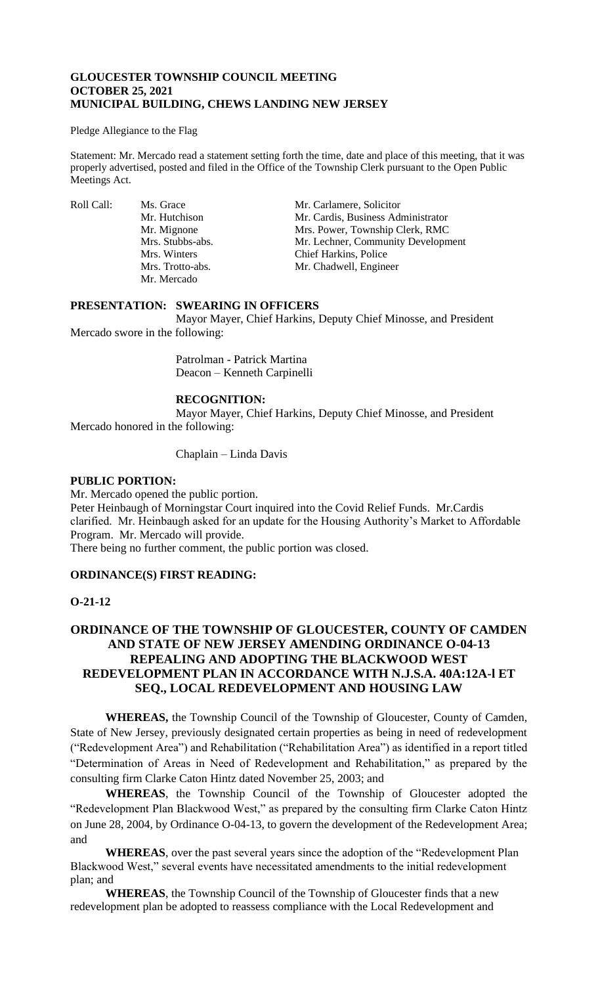#### **GLOUCESTER TOWNSHIP COUNCIL MEETING OCTOBER 25, 2021 MUNICIPAL BUILDING, CHEWS LANDING NEW JERSEY**

#### Pledge Allegiance to the Flag

Statement: Mr. Mercado read a statement setting forth the time, date and place of this meeting, that it was properly advertised, posted and filed in the Office of the Township Clerk pursuant to the Open Public Meetings Act.

Roll Call: Ms. Grace Mr. Carlamere, Solicitor<br>Mr. Hutchison Mr. Cardis, Business Adı Mr. Mercado

Mr. Cardis, Business Administrator Mr. Mignone Mrs. Power, Township Clerk, RMC Mrs. Stubbs-abs. Mr. Lechner, Community Development Mrs. Winters Chief Harkins, Police Mrs. Trotto-abs. Mr. Chadwell, Engineer

# **PRESENTATION: SWEARING IN OFFICERS**

Mayor Mayer, Chief Harkins, Deputy Chief Minosse, and President Mercado swore in the following:

> Patrolman - Patrick Martina Deacon – Kenneth Carpinelli

### **RECOGNITION:**

Mayor Mayer, Chief Harkins, Deputy Chief Minosse, and President Mercado honored in the following:

Chaplain – Linda Davis

#### **PUBLIC PORTION:**

Mr. Mercado opened the public portion. Peter Heinbaugh of Morningstar Court inquired into the Covid Relief Funds. Mr.Cardis

clarified. Mr. Heinbaugh asked for an update for the Housing Authority's Market to Affordable Program. Mr. Mercado will provide.

There being no further comment, the public portion was closed.

### **ORDINANCE(S) FIRST READING:**

### **O-21-12**

# **ORDINANCE OF THE TOWNSHIP OF GLOUCESTER, COUNTY OF CAMDEN AND STATE OF NEW JERSEY AMENDING ORDINANCE O-04-13 REPEALING AND ADOPTING THE BLACKWOOD WEST REDEVELOPMENT PLAN IN ACCORDANCE WITH N.J.S.A. 40A:12A-l ET SEQ., LOCAL REDEVELOPMENT AND HOUSING LAW**

**WHEREAS,** the Township Council of the Township of Gloucester, County of Camden, State of New Jersey, previously designated certain properties as being in need of redevelopment ("Redevelopment Area") and Rehabilitation ("Rehabilitation Area") as identified in a report titled "Determination of Areas in Need of Redevelopment and Rehabilitation," as prepared by the consulting firm Clarke Caton Hintz dated November 25, 2003; and

**WHEREAS**, the Township Council of the Township of Gloucester adopted the "Redevelopment Plan Blackwood West," as prepared by the consulting firm Clarke Caton Hintz on June 28, 2004, by Ordinance O-04-13, to govern the development of the Redevelopment Area; and

**WHEREAS**, over the past several years since the adoption of the "Redevelopment Plan Blackwood West," several events have necessitated amendments to the initial redevelopment plan; and

**WHEREAS**, the Township Council of the Township of Gloucester finds that a new redevelopment plan be adopted to reassess compliance with the Local Redevelopment and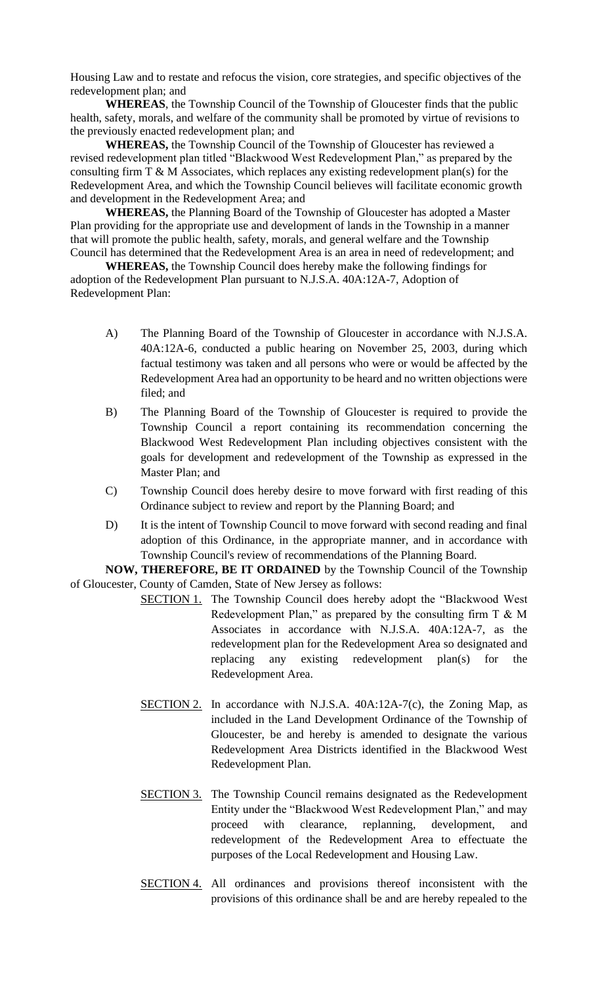Housing Law and to restate and refocus the vision, core strategies, and specific objectives of the redevelopment plan; and

**WHEREAS**, the Township Council of the Township of Gloucester finds that the public health, safety, morals, and welfare of the community shall be promoted by virtue of revisions to the previously enacted redevelopment plan; and

**WHEREAS,** the Township Council of the Township of Gloucester has reviewed a revised redevelopment plan titled "Blackwood West Redevelopment Plan," as prepared by the consulting firm T & M Associates, which replaces any existing redevelopment plan(s) for the Redevelopment Area, and which the Township Council believes will facilitate economic growth and development in the Redevelopment Area; and

**WHEREAS,** the Planning Board of the Township of Gloucester has adopted a Master Plan providing for the appropriate use and development of lands in the Township in a manner that will promote the public health, safety, morals, and general welfare and the Township Council has determined that the Redevelopment Area is an area in need of redevelopment; and

**WHEREAS,** the Township Council does hereby make the following findings for adoption of the Redevelopment Plan pursuant to N.J.S.A. 40A:12A-7, Adoption of Redevelopment Plan:

- A) The Planning Board of the Township of Gloucester in accordance with N.J.S.A. 40A:12A-6, conducted a public hearing on November 25, 2003, during which factual testimony was taken and all persons who were or would be affected by the Redevelopment Area had an opportunity to be heard and no written objections were filed; and
- B) The Planning Board of the Township of Gloucester is required to provide the Township Council a report containing its recommendation concerning the Blackwood West Redevelopment Plan including objectives consistent with the goals for development and redevelopment of the Township as expressed in the Master Plan; and
- C) Township Council does hereby desire to move forward with first reading of this Ordinance subject to review and report by the Planning Board; and
- D) It is the intent of Township Council to move forward with second reading and final adoption of this Ordinance, in the appropriate manner, and in accordance with Township Council's review of recommendations of the Planning Board.

**NOW, THEREFORE, BE IT ORDAINED** by the Township Council of the Township of Gloucester, County of Camden, State of New Jersey as follows:

- SECTION 1. The Township Council does hereby adopt the "Blackwood West" Redevelopment Plan," as prepared by the consulting firm T & M Associates in accordance with N.J.S.A. 40A:12A-7, as the redevelopment plan for the Redevelopment Area so designated and replacing any existing redevelopment plan(s) for the Redevelopment Area.
- SECTION 2. In accordance with N.J.S.A. 40A:12A-7(c), the Zoning Map, as included in the Land Development Ordinance of the Township of Gloucester, be and hereby is amended to designate the various Redevelopment Area Districts identified in the Blackwood West Redevelopment Plan.
- SECTION 3. The Township Council remains designated as the Redevelopment Entity under the "Blackwood West Redevelopment Plan," and may proceed with clearance, replanning, development, and redevelopment of the Redevelopment Area to effectuate the purposes of the Local Redevelopment and Housing Law.
- SECTION 4. All ordinances and provisions thereof inconsistent with the provisions of this ordinance shall be and are hereby repealed to the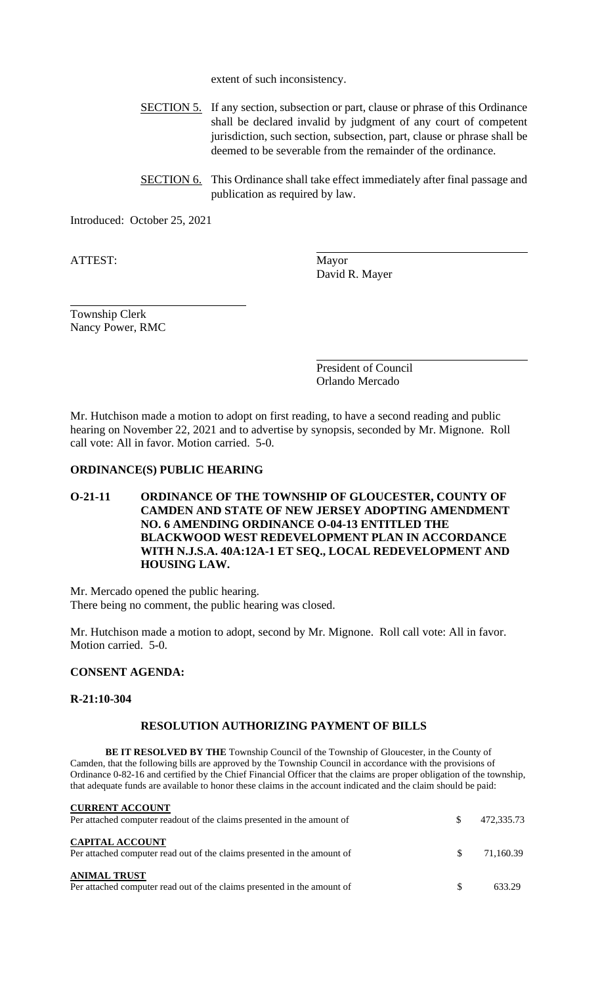extent of such inconsistency.

- SECTION 5. If any section, subsection or part, clause or phrase of this Ordinance shall be declared invalid by judgment of any court of competent jurisdiction, such section, subsection, part, clause or phrase shall be deemed to be severable from the remainder of the ordinance.
- SECTION 6. This Ordinance shall take effect immediately after final passage and publication as required by law.

Introduced: October 25, 2021

ATTEST: Mayor

David R. Mayer

Township Clerk Nancy Power, RMC

> President of Council Orlando Mercado

Mr. Hutchison made a motion to adopt on first reading, to have a second reading and public hearing on November 22, 2021 and to advertise by synopsis, seconded by Mr. Mignone. Roll call vote: All in favor. Motion carried. 5-0.

### **ORDINANCE(S) PUBLIC HEARING**

### **O-21-11 ORDINANCE OF THE TOWNSHIP OF GLOUCESTER, COUNTY OF CAMDEN AND STATE OF NEW JERSEY ADOPTING AMENDMENT NO. 6 AMENDING ORDINANCE O-04-13 ENTITLED THE BLACKWOOD WEST REDEVELOPMENT PLAN IN ACCORDANCE WITH N.J.S.A. 40A:12A-1 ET SEQ., LOCAL REDEVELOPMENT AND HOUSING LAW.**

Mr. Mercado opened the public hearing. There being no comment, the public hearing was closed.

Mr. Hutchison made a motion to adopt, second by Mr. Mignone. Roll call vote: All in favor. Motion carried. 5-0.

#### **CONSENT AGENDA:**

#### **R-21:10-304**

#### **RESOLUTION AUTHORIZING PAYMENT OF BILLS**

**BE IT RESOLVED BY THE** Township Council of the Township of Gloucester, in the County of Camden, that the following bills are approved by the Township Council in accordance with the provisions of Ordinance 0-82-16 and certified by the Chief Financial Officer that the claims are proper obligation of the township, that adequate funds are available to honor these claims in the account indicated and the claim should be paid:

| <b>CURRENT ACCOUNT</b>                                                  |     |            |
|-------------------------------------------------------------------------|-----|------------|
| Per attached computer readout of the claims presented in the amount of  | \$. | 472,335.73 |
| <b>CAPITAL ACCOUNT</b>                                                  |     |            |
| Per attached computer read out of the claims presented in the amount of | S.  | 71.160.39  |
| <b>ANIMAL TRUST</b>                                                     |     |            |
| Per attached computer read out of the claims presented in the amount of | S.  | 633.29     |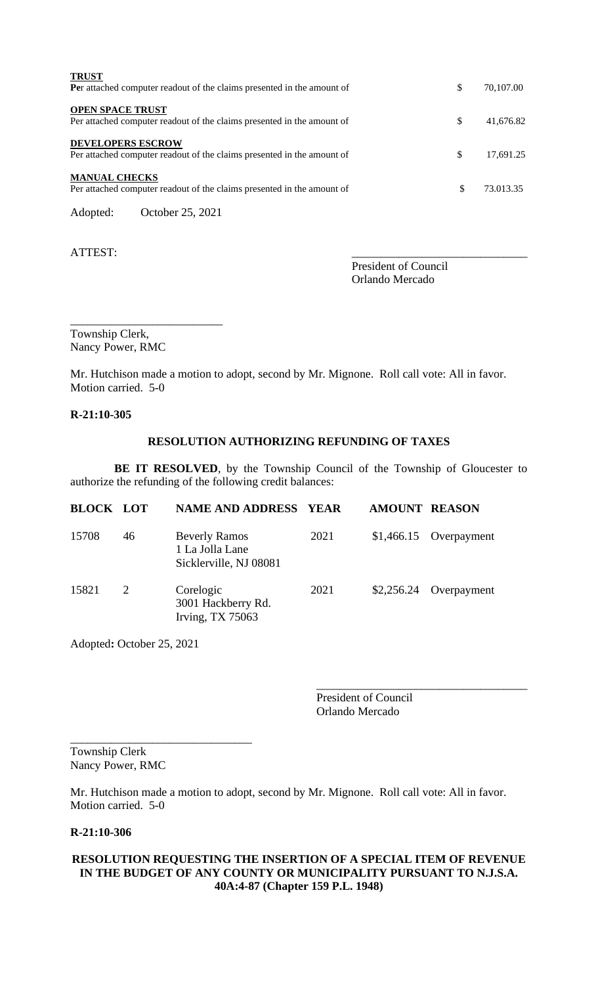| <b>TRUST</b>                                                           |                 |
|------------------------------------------------------------------------|-----------------|
| Per attached computer readout of the claims presented in the amount of | \$<br>70,107.00 |
| <b>OPEN SPACE TRUST</b>                                                |                 |
| Per attached computer readout of the claims presented in the amount of | \$<br>41,676.82 |
| <b>DEVELOPERS ESCROW</b>                                               |                 |
| Per attached computer readout of the claims presented in the amount of | \$<br>17,691.25 |
| <b>MANUAL CHECKS</b>                                                   |                 |
| Per attached computer readout of the claims presented in the amount of | \$<br>73.013.35 |
| Adopted:<br>October 25, 2021                                           |                 |

ATTEST:

President of Council Orlando Mercado

Township Clerk, Nancy Power, RMC

\_\_\_\_\_\_\_\_\_\_\_\_\_\_\_\_\_\_\_\_\_\_\_\_\_\_

Mr. Hutchison made a motion to adopt, second by Mr. Mignone. Roll call vote: All in favor. Motion carried. 5-0

### **R-21:10-305**

### **RESOLUTION AUTHORIZING REFUNDING OF TAXES**

**BE IT RESOLVED**, by the Township Council of the Township of Gloucester to authorize the refunding of the following credit balances:

| <b>BLOCK LOT</b> |    | <b>NAME AND ADDRESS YEAR</b>                                      |      | <b>AMOUNT REASON</b> |                         |
|------------------|----|-------------------------------------------------------------------|------|----------------------|-------------------------|
| 15708            | 46 | <b>Beverly Ramos</b><br>1 La Jolla Lane<br>Sicklerville, NJ 08081 | 2021 |                      | $$1,466.15$ Overpayment |
| 15821            | 2  | Corelogic<br>3001 Hackberry Rd.<br>Irving, TX 75063               | 2021 | \$2,256.24           | Overpayment             |

Adopted**:** October 25, 2021

\_\_\_\_\_\_\_\_\_\_\_\_\_\_\_\_\_\_\_\_\_\_\_\_\_\_\_\_\_\_\_

President of Council Orlando Mercado

\_\_\_\_\_\_\_\_\_\_\_\_\_\_\_\_\_\_\_\_\_\_\_\_\_\_\_\_\_\_\_\_\_\_\_\_

Township Clerk Nancy Power, RMC

Mr. Hutchison made a motion to adopt, second by Mr. Mignone. Roll call vote: All in favor. Motion carried. 5-0

**R-21:10-306**

### **RESOLUTION REQUESTING THE INSERTION OF A SPECIAL ITEM OF REVENUE IN THE BUDGET OF ANY COUNTY OR MUNICIPALITY PURSUANT TO N.J.S.A. 40A:4-87 (Chapter 159 P.L. 1948)**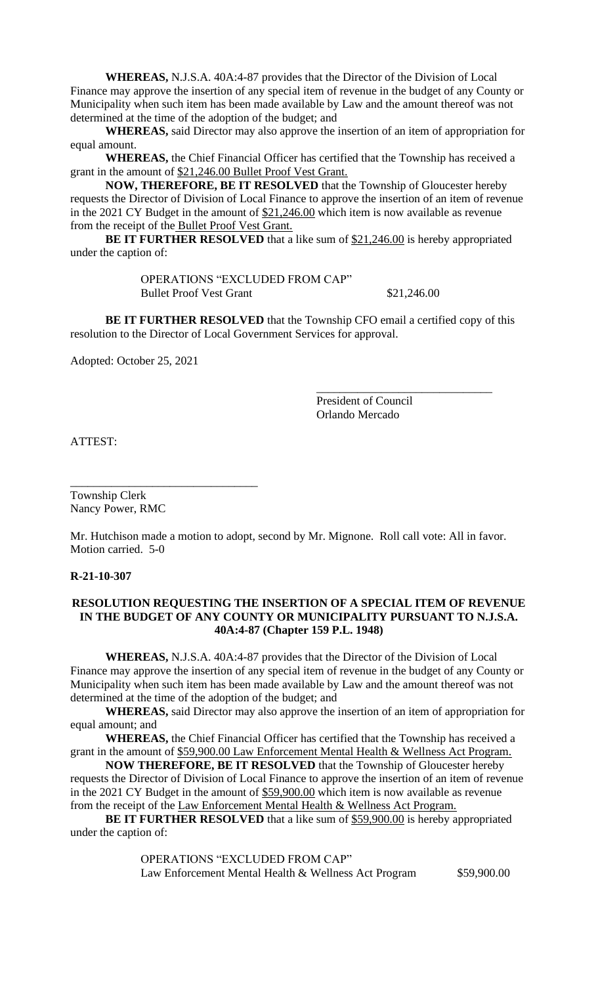**WHEREAS,** N.J.S.A. 40A:4-87 provides that the Director of the Division of Local Finance may approve the insertion of any special item of revenue in the budget of any County or Municipality when such item has been made available by Law and the amount thereof was not determined at the time of the adoption of the budget; and

**WHEREAS,** said Director may also approve the insertion of an item of appropriation for equal amount.

**WHEREAS,** the Chief Financial Officer has certified that the Township has received a grant in the amount of \$21,246.00 Bullet Proof Vest Grant.

**NOW, THEREFORE, BE IT RESOLVED** that the Township of Gloucester hereby requests the Director of Division of Local Finance to approve the insertion of an item of revenue in the 2021 CY Budget in the amount of  $$21,246.00$  which item is now available as revenue from the receipt of the Bullet Proof Vest Grant.

**BE IT FURTHER RESOLVED** that a like sum of \$21,246.00 is hereby appropriated under the caption of:

> OPERATIONS "EXCLUDED FROM CAP" Bullet Proof Vest Grant \$21,246.00

**BE IT FURTHER RESOLVED** that the Township CFO email a certified copy of this resolution to the Director of Local Government Services for approval.

Adopted: October 25, 2021

President of Council Orlando Mercado

\_\_\_\_\_\_\_\_\_\_\_\_\_\_\_\_\_\_\_\_\_\_\_\_\_\_\_\_\_\_

ATTEST:

Township Clerk Nancy Power, RMC

\_\_\_\_\_\_\_\_\_\_\_\_\_\_\_\_\_\_\_\_\_\_\_\_\_\_\_\_\_\_\_\_

Mr. Hutchison made a motion to adopt, second by Mr. Mignone. Roll call vote: All in favor. Motion carried. 5-0

**R-21-10-307**

#### **RESOLUTION REQUESTING THE INSERTION OF A SPECIAL ITEM OF REVENUE IN THE BUDGET OF ANY COUNTY OR MUNICIPALITY PURSUANT TO N.J.S.A. 40A:4-87 (Chapter 159 P.L. 1948)**

**WHEREAS,** N.J.S.A. 40A:4-87 provides that the Director of the Division of Local Finance may approve the insertion of any special item of revenue in the budget of any County or Municipality when such item has been made available by Law and the amount thereof was not determined at the time of the adoption of the budget; and

**WHEREAS,** said Director may also approve the insertion of an item of appropriation for equal amount; and

**WHEREAS,** the Chief Financial Officer has certified that the Township has received a grant in the amount of \$59,900.00 Law Enforcement Mental Health & Wellness Act Program.

**NOW THEREFORE, BE IT RESOLVED** that the Township of Gloucester hereby requests the Director of Division of Local Finance to approve the insertion of an item of revenue in the 2021 CY Budget in the amount of \$59,900.00 which item is now available as revenue from the receipt of the Law Enforcement Mental Health & Wellness Act Program.

**BE IT FURTHER RESOLVED** that a like sum of \$59,900.00 is hereby appropriated under the caption of:

> OPERATIONS "EXCLUDED FROM CAP" Law Enforcement Mental Health & Wellness Act Program \$59,900.00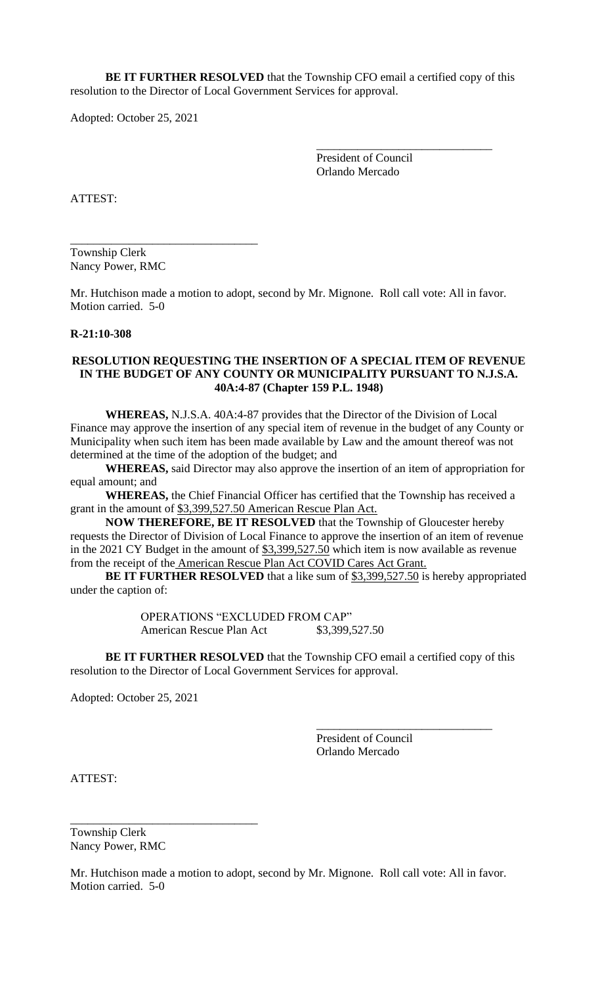**BE IT FURTHER RESOLVED** that the Township CFO email a certified copy of this resolution to the Director of Local Government Services for approval.

Adopted: October 25, 2021

\_\_\_\_\_\_\_\_\_\_\_\_\_\_\_\_\_\_\_\_\_\_\_\_\_\_\_\_\_\_ President of Council Orlando Mercado

ATTEST:

Township Clerk Nancy Power, RMC

\_\_\_\_\_\_\_\_\_\_\_\_\_\_\_\_\_\_\_\_\_\_\_\_\_\_\_\_\_\_\_\_

Mr. Hutchison made a motion to adopt, second by Mr. Mignone. Roll call vote: All in favor. Motion carried. 5-0

#### **R-21:10-308**

#### **RESOLUTION REQUESTING THE INSERTION OF A SPECIAL ITEM OF REVENUE IN THE BUDGET OF ANY COUNTY OR MUNICIPALITY PURSUANT TO N.J.S.A. 40A:4-87 (Chapter 159 P.L. 1948)**

**WHEREAS,** N.J.S.A. 40A:4-87 provides that the Director of the Division of Local Finance may approve the insertion of any special item of revenue in the budget of any County or Municipality when such item has been made available by Law and the amount thereof was not determined at the time of the adoption of the budget; and

**WHEREAS,** said Director may also approve the insertion of an item of appropriation for equal amount; and

**WHEREAS,** the Chief Financial Officer has certified that the Township has received a grant in the amount of \$3,399,527.50 American Rescue Plan Act.

**NOW THEREFORE, BE IT RESOLVED** that the Township of Gloucester hereby requests the Director of Division of Local Finance to approve the insertion of an item of revenue in the 2021 CY Budget in the amount of \$3,399,527.50 which item is now available as revenue from the receipt of the American Rescue Plan Act COVID Cares Act Grant.

**BE IT FURTHER RESOLVED** that a like sum of \$3,399,527.50 is hereby appropriated under the caption of:

> OPERATIONS "EXCLUDED FROM CAP" American Rescue Plan Act \$3,399,527.50

**BE IT FURTHER RESOLVED** that the Township CFO email a certified copy of this resolution to the Director of Local Government Services for approval.

Adopted: October 25, 2021

President of Council Orlando Mercado

\_\_\_\_\_\_\_\_\_\_\_\_\_\_\_\_\_\_\_\_\_\_\_\_\_\_\_\_\_\_

ATTEST:

Township Clerk Nancy Power, RMC

\_\_\_\_\_\_\_\_\_\_\_\_\_\_\_\_\_\_\_\_\_\_\_\_\_\_\_\_\_\_\_\_

Mr. Hutchison made a motion to adopt, second by Mr. Mignone. Roll call vote: All in favor. Motion carried. 5-0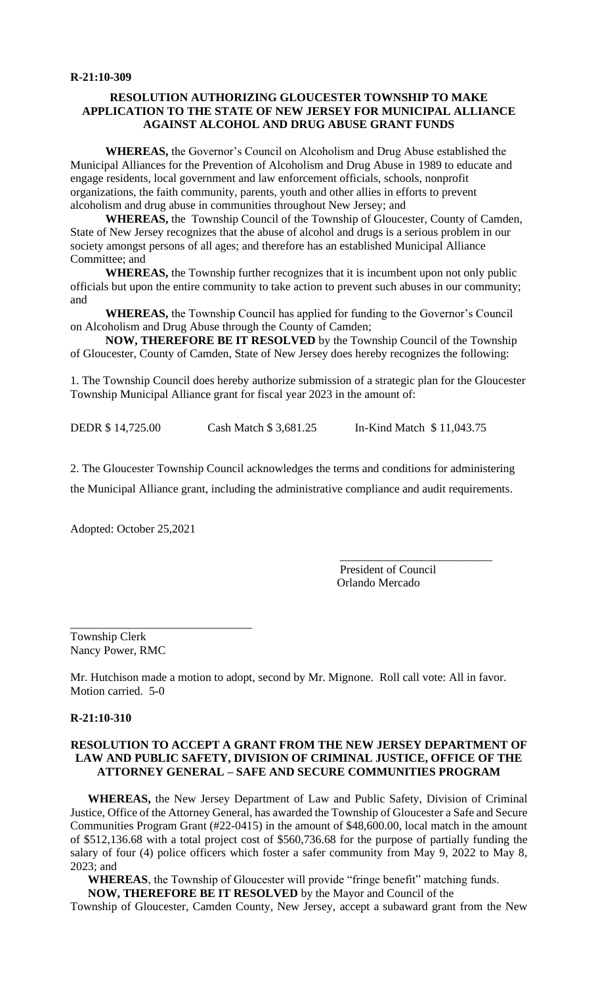#### **R-21:10-309**

### **RESOLUTION AUTHORIZING GLOUCESTER TOWNSHIP TO MAKE APPLICATION TO THE STATE OF NEW JERSEY FOR MUNICIPAL ALLIANCE AGAINST ALCOHOL AND DRUG ABUSE GRANT FUNDS**

**WHEREAS,** the Governor's Council on Alcoholism and Drug Abuse established the Municipal Alliances for the Prevention of Alcoholism and Drug Abuse in 1989 to educate and engage residents, local government and law enforcement officials, schools, nonprofit organizations, the faith community, parents, youth and other allies in efforts to prevent alcoholism and drug abuse in communities throughout New Jersey; and

**WHEREAS,** the Township Council of the Township of Gloucester, County of Camden, State of New Jersey recognizes that the abuse of alcohol and drugs is a serious problem in our society amongst persons of all ages; and therefore has an established Municipal Alliance Committee; and

**WHEREAS,** the Township further recognizes that it is incumbent upon not only public officials but upon the entire community to take action to prevent such abuses in our community; and

**WHEREAS,** the Township Council has applied for funding to the Governor's Council on Alcoholism and Drug Abuse through the County of Camden;

**NOW, THEREFORE BE IT RESOLVED** by the Township Council of the Township of Gloucester, County of Camden, State of New Jersey does hereby recognizes the following:

1. The Township Council does hereby authorize submission of a strategic plan for the Gloucester Township Municipal Alliance grant for fiscal year 2023 in the amount of:

DEDR \$ 14,725.00 Cash Match \$ 3,681.25 In-Kind Match \$ 11,043.75

2. The Gloucester Township Council acknowledges the terms and conditions for administering the Municipal Alliance grant, including the administrative compliance and audit requirements.

 $\overline{\phantom{a}}$  , and the contract of the contract of the contract of the contract of the contract of the contract of the contract of the contract of the contract of the contract of the contract of the contract of the contrac

Adopted: October 25,2021

\_\_\_\_\_\_\_\_\_\_\_\_\_\_\_\_\_\_\_\_\_\_\_\_\_\_\_\_\_\_\_

 President of Council Orlando Mercado

Township Clerk Nancy Power, RMC

Mr. Hutchison made a motion to adopt, second by Mr. Mignone. Roll call vote: All in favor. Motion carried. 5-0

#### **R-21:10-310**

#### **RESOLUTION TO ACCEPT A GRANT FROM THE NEW JERSEY DEPARTMENT OF LAW AND PUBLIC SAFETY, DIVISION OF CRIMINAL JUSTICE, OFFICE OF THE ATTORNEY GENERAL – SAFE AND SECURE COMMUNITIES PROGRAM**

**WHEREAS,** the New Jersey Department of Law and Public Safety, Division of Criminal Justice, Office of the Attorney General, has awarded the Township of Gloucester a Safe and Secure Communities Program Grant (#22-0415) in the amount of \$48,600.00, local match in the amount of \$512,136.68 with a total project cost of \$560,736.68 for the purpose of partially funding the salary of four (4) police officers which foster a safer community from May 9, 2022 to May 8, 2023; and

**WHEREAS**, the Township of Gloucester will provide "fringe benefit" matching funds.

**NOW, THEREFORE BE IT RESOLVED** by the Mayor and Council of the

Township of Gloucester, Camden County, New Jersey, accept a subaward grant from the New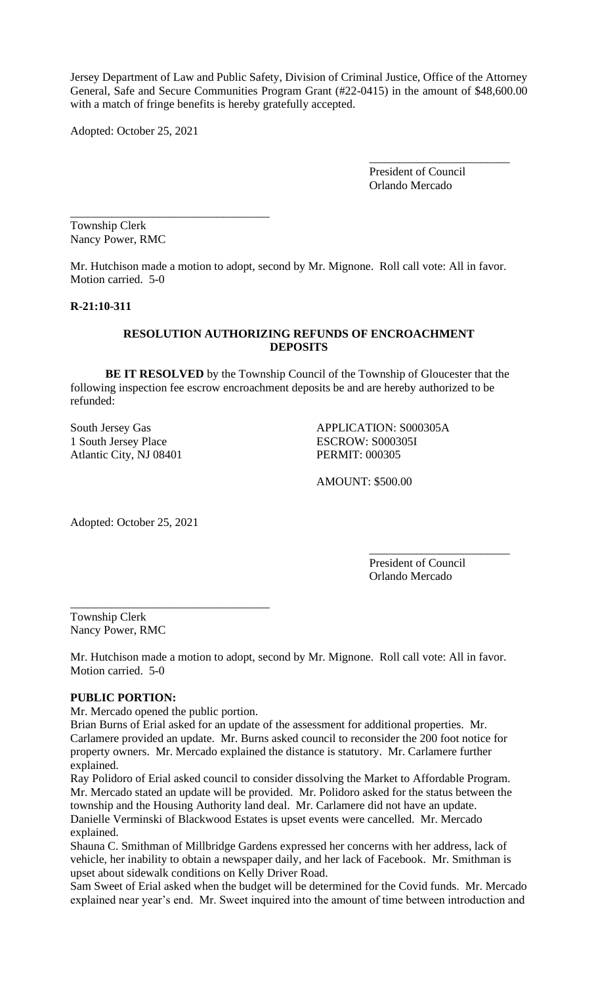Jersey Department of Law and Public Safety, Division of Criminal Justice, Office of the Attorney General, Safe and Secure Communities Program Grant (#22-0415) in the amount of \$48,600.00 with a match of fringe benefits is hereby gratefully accepted.

Adopted: October 25, 2021

President of Council Orlando Mercado

\_\_\_\_\_\_\_\_\_\_\_\_\_\_\_\_\_\_\_\_\_\_\_\_

\_\_\_\_\_\_\_\_\_\_\_\_\_\_\_\_\_\_\_\_\_\_\_\_\_\_\_\_\_\_\_\_\_\_ Township Clerk Nancy Power, RMC

Mr. Hutchison made a motion to adopt, second by Mr. Mignone. Roll call vote: All in favor. Motion carried. 5-0

#### **R-21:10-311**

#### **RESOLUTION AUTHORIZING REFUNDS OF ENCROACHMENT DEPOSITS**

**BE IT RESOLVED** by the Township Council of the Township of Gloucester that the following inspection fee escrow encroachment deposits be and are hereby authorized to be refunded:

1 South Jersey Place ESCROW: S000305I Atlantic City, NJ 08401 PERMIT: 000305

South Jersey Gas APPLICATION: S000305A

AMOUNT: \$500.00

Adopted: October 25, 2021

President of Council Orlando Mercado

\_\_\_\_\_\_\_\_\_\_\_\_\_\_\_\_\_\_\_\_\_\_\_\_

Township Clerk Nancy Power, RMC

Mr. Hutchison made a motion to adopt, second by Mr. Mignone. Roll call vote: All in favor. Motion carried. 5-0

#### **PUBLIC PORTION:**

Mr. Mercado opened the public portion.

\_\_\_\_\_\_\_\_\_\_\_\_\_\_\_\_\_\_\_\_\_\_\_\_\_\_\_\_\_\_\_\_\_\_

Brian Burns of Erial asked for an update of the assessment for additional properties. Mr. Carlamere provided an update. Mr. Burns asked council to reconsider the 200 foot notice for property owners. Mr. Mercado explained the distance is statutory. Mr. Carlamere further explained.

Ray Polidoro of Erial asked council to consider dissolving the Market to Affordable Program. Mr. Mercado stated an update will be provided. Mr. Polidoro asked for the status between the township and the Housing Authority land deal. Mr. Carlamere did not have an update. Danielle Verminski of Blackwood Estates is upset events were cancelled. Mr. Mercado explained.

Shauna C. Smithman of Millbridge Gardens expressed her concerns with her address, lack of vehicle, her inability to obtain a newspaper daily, and her lack of Facebook. Mr. Smithman is upset about sidewalk conditions on Kelly Driver Road.

Sam Sweet of Erial asked when the budget will be determined for the Covid funds. Mr. Mercado explained near year's end. Mr. Sweet inquired into the amount of time between introduction and